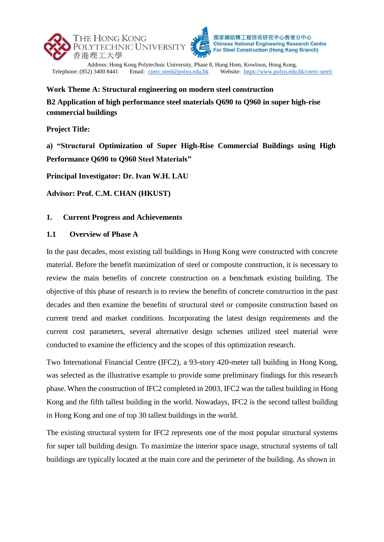



**Chinese National Engineering Research Centre For Steel Construction (Hong Kong Branch)** 

Address: Hong Kong Polytechnic University, Phase 8, Hung Hom, Kowloon, Hong Kong.<br>Telephone: (852) 3400 8441 Email: cnerc.steel@polyu.edu.hk Website: https://www.polyu.edu. Website: <https://www.polyu.edu.hk/cnerc-steel/>

**Work Theme A: Structural engineering on modern steel construction**

**B2 Application of high performance steel materials Q690 to Q960 in super high-rise commercial buildings**

**Project Title:**

**a) "Structural Optimization of Super High-Rise Commercial Buildings using High Performance Q690 to Q960 Steel Materials"**

**Principal Investigator: Dr. Ivan W.H. LAU**

**Advisor: Prof. C.M. CHAN (HKUST)**

### **1. Current Progress and Achievements**

#### **1.1 Overview of Phase A**

In the past decades, most existing tall buildings in Hong Kong were constructed with concrete material. Before the benefit maximization of steel or composite construction, it is necessary to review the main benefits of concrete construction on a benchmark existing building. The objective of this phase of research is to review the benefits of concrete construction in the past decades and then examine the benefits of structural steel or composite construction based on current trend and market conditions. Incorporating the latest design requirements and the current cost parameters, several alternative design schemes utilized steel material were conducted to examine the efficiency and the scopes of this optimization research.

Two International Financial Centre (IFC2), a 93-story 420-meter tall building in Hong Kong, was selected as the illustrative example to provide some preliminary findings for this research phase. When the construction of IFC2 completed in 2003, IFC2 was the tallest building in Hong Kong and the fifth tallest building in the world. Nowadays, IFC2 is the second tallest building in Hong Kong and one of top 30 tallest buildings in the world.

The existing structural system for IFC2 represents one of the most popular structural systems for super tall building design. To maximize the interior space usage, structural systems of tall buildings are typically located at the main core and the perimeter of the building. As shown in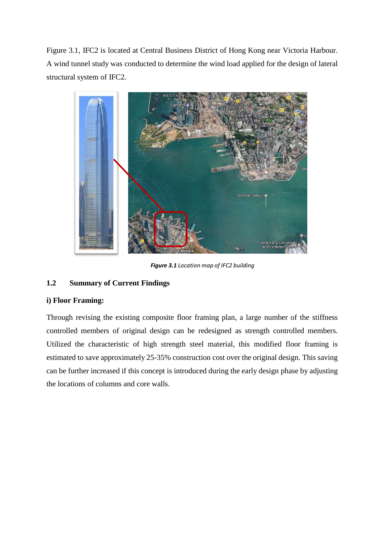Figure 3.1, IFC2 is located at Central Business District of Hong Kong near Victoria Harbour. A wind tunnel study was conducted to determine the wind load applied for the design of lateral structural system of IFC2.



*Figure 3.1 Location map of IFC2 building*

# **1.2 Summary of Current Findings**

### **i) Floor Framing:**

Through revising the existing composite floor framing plan, a large number of the stiffness controlled members of original design can be redesigned as strength controlled members. Utilized the characteristic of high strength steel material, this modified floor framing is estimated to save approximately 25-35% construction cost over the original design. This saving can be further increased if this concept is introduced during the early design phase by adjusting the locations of columns and core walls.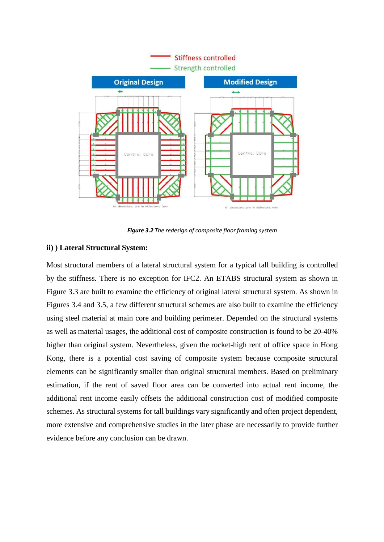

*Figure 3.2 The redesign of composite floor framing system*

#### **ii) ) Lateral Structural System:**

Most structural members of a lateral structural system for a typical tall building is controlled by the stiffness. There is no exception for IFC2. An ETABS structural system as shown in Figure 3.3 are built to examine the efficiency of original lateral structural system. As shown in Figures 3.4 and 3.5, a few different structural schemes are also built to examine the efficiency using steel material at main core and building perimeter. Depended on the structural systems as well as material usages, the additional cost of composite construction is found to be 20-40% higher than original system. Nevertheless, given the rocket-high rent of office space in Hong Kong, there is a potential cost saving of composite system because composite structural elements can be significantly smaller than original structural members. Based on preliminary estimation, if the rent of saved floor area can be converted into actual rent income, the additional rent income easily offsets the additional construction cost of modified composite schemes. As structural systems for tall buildings vary significantly and often project dependent, more extensive and comprehensive studies in the later phase are necessarily to provide further evidence before any conclusion can be drawn.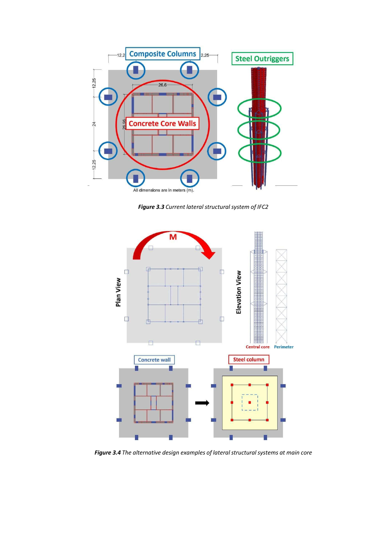

*Figure 3.3 Current lateral structural system of IFC2*



*Figure 3.4 The alternative design examples of lateral structuralsystems at main core*